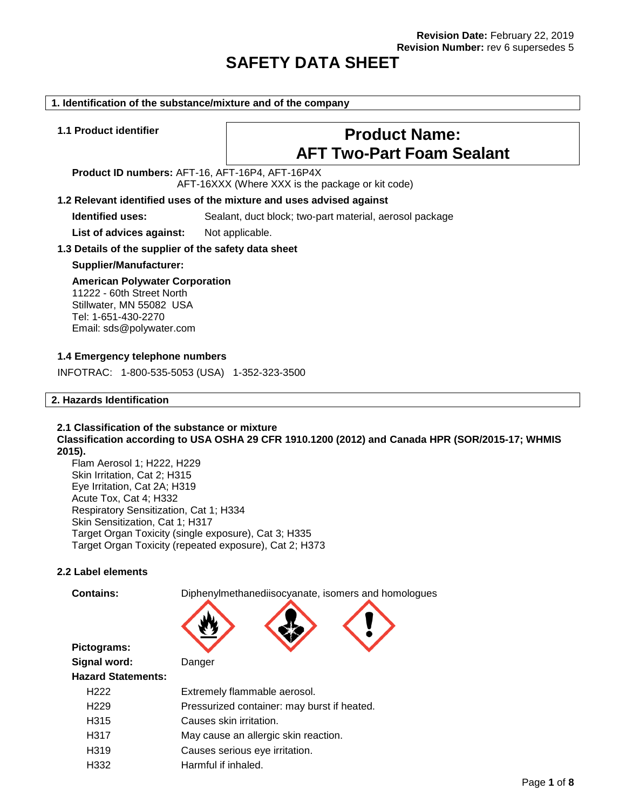# **SAFETY DATA SHEET**

#### **1. Identification of the substance/mixture and of the company**

# **1.1 Product identifier Product Name: AFT Two-Part Foam Sealant**

**Product ID numbers:** AFT-16, AFT-16P4, AFT-16P4X AFT-16XXX (Where XXX is the package or kit code)

# **1.2 Relevant identified uses of the mixture and uses advised against**

**Identified uses:** Sealant, duct block; two-part material, aerosol package

List of advices against: Not applicable.

# **1.3 Details of the supplier of the safety data sheet**

# **Supplier/Manufacturer:**

# **American Polywater Corporation**

11222 - 60th Street North Stillwater, MN 55082 USA Tel: 1-651-430-2270 Email: sds@polywater.com

# **1.4 Emergency telephone numbers**

INFOTRAC: 1-800-535-5053 (USA) 1-352-323-3500

# **2. Hazards Identification**

# **2.1 Classification of the substance or mixture Classification according to USA OSHA 29 CFR 1910.1200 (2012) and Canada HPR (SOR/2015-17; WHMIS 2015).**

Flam Aerosol 1; H222, H229 Skin Irritation, Cat 2; H315 Eye Irritation, Cat 2A; H319 Acute Tox, Cat 4; H332 Respiratory Sensitization, Cat 1; H334 Skin Sensitization, Cat 1; H317 Target Organ Toxicity (single exposure), Cat 3; H335 Target Organ Toxicity (repeated exposure), Cat 2; H373

# **2.2 Label elements**

**Pictograms:**

**Contains:** Diphenylmethanediisocyanate, isomers and homologues



**Signal word:** Danger

# **Hazard Statements:**

| H222 | Extremely flammable aerosol.                |
|------|---------------------------------------------|
| H229 | Pressurized container: may burst if heated. |
| H315 | Causes skin irritation.                     |
| H317 | May cause an allergic skin reaction.        |
| H319 | Causes serious eye irritation.              |
| H332 | Harmful if inhaled.                         |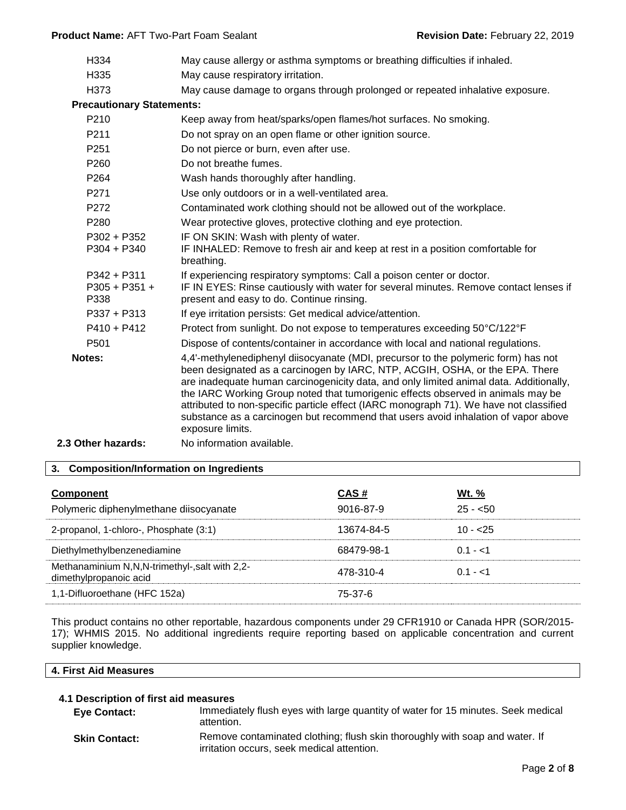| H334                                     | May cause allergy or asthma symptoms or breathing difficulties if inhaled.                                                                                                                                                                                                                                                                                                                                                                                                                                                                           |
|------------------------------------------|------------------------------------------------------------------------------------------------------------------------------------------------------------------------------------------------------------------------------------------------------------------------------------------------------------------------------------------------------------------------------------------------------------------------------------------------------------------------------------------------------------------------------------------------------|
| H335                                     | May cause respiratory irritation.                                                                                                                                                                                                                                                                                                                                                                                                                                                                                                                    |
| H373                                     | May cause damage to organs through prolonged or repeated inhalative exposure.                                                                                                                                                                                                                                                                                                                                                                                                                                                                        |
| <b>Precautionary Statements:</b>         |                                                                                                                                                                                                                                                                                                                                                                                                                                                                                                                                                      |
| P210                                     | Keep away from heat/sparks/open flames/hot surfaces. No smoking.                                                                                                                                                                                                                                                                                                                                                                                                                                                                                     |
| P211                                     | Do not spray on an open flame or other ignition source.                                                                                                                                                                                                                                                                                                                                                                                                                                                                                              |
| P251                                     | Do not pierce or burn, even after use.                                                                                                                                                                                                                                                                                                                                                                                                                                                                                                               |
| P <sub>260</sub>                         | Do not breathe fumes.                                                                                                                                                                                                                                                                                                                                                                                                                                                                                                                                |
| P <sub>264</sub>                         | Wash hands thoroughly after handling.                                                                                                                                                                                                                                                                                                                                                                                                                                                                                                                |
| P271                                     | Use only outdoors or in a well-ventilated area.                                                                                                                                                                                                                                                                                                                                                                                                                                                                                                      |
| P <sub>272</sub>                         | Contaminated work clothing should not be allowed out of the workplace.                                                                                                                                                                                                                                                                                                                                                                                                                                                                               |
| P280                                     | Wear protective gloves, protective clothing and eye protection.                                                                                                                                                                                                                                                                                                                                                                                                                                                                                      |
| P302 + P352<br>$P304 + P340$             | IF ON SKIN: Wash with plenty of water.<br>IF INHALED: Remove to fresh air and keep at rest in a position comfortable for<br>breathing.                                                                                                                                                                                                                                                                                                                                                                                                               |
| $P342 + P311$<br>$P305 + P351 +$<br>P338 | If experiencing respiratory symptoms: Call a poison center or doctor.<br>IF IN EYES: Rinse cautiously with water for several minutes. Remove contact lenses if<br>present and easy to do. Continue rinsing.                                                                                                                                                                                                                                                                                                                                          |
| $P337 + P313$                            | If eye irritation persists: Get medical advice/attention.                                                                                                                                                                                                                                                                                                                                                                                                                                                                                            |
| $P410 + P412$                            | Protect from sunlight. Do not expose to temperatures exceeding 50°C/122°F                                                                                                                                                                                                                                                                                                                                                                                                                                                                            |
| P <sub>501</sub>                         | Dispose of contents/container in accordance with local and national regulations.                                                                                                                                                                                                                                                                                                                                                                                                                                                                     |
| Notes:                                   | 4,4'-methylenediphenyl diisocyanate (MDI, precursor to the polymeric form) has not<br>been designated as a carcinogen by IARC, NTP, ACGIH, OSHA, or the EPA. There<br>are inadequate human carcinogenicity data, and only limited animal data. Additionally,<br>the IARC Working Group noted that tumorigenic effects observed in animals may be<br>attributed to non-specific particle effect (IARC monograph 71). We have not classified<br>substance as a carcinogen but recommend that users avoid inhalation of vapor above<br>exposure limits. |
| 2.3 Other hazards:                       | No information available.                                                                                                                                                                                                                                                                                                                                                                                                                                                                                                                            |
|                                          |                                                                                                                                                                                                                                                                                                                                                                                                                                                                                                                                                      |

# **3. Composition/Information on Ingredients**

| <b>Component</b><br>Polymeric diphenylmethane diisocyanate              | CAS#<br>9016-87-9 | <b>Wt.</b> %<br>$25 - 50$ |
|-------------------------------------------------------------------------|-------------------|---------------------------|
| 2-propanol, 1-chloro-, Phosphate (3:1)                                  | 13674-84-5        | $10 - 25$                 |
| Diethylmethylbenzenediamine                                             | 68479-98-1        | $0.1 - 1$                 |
| Methanaminium N,N,N-trimethyl-,salt with 2,2-<br>dimethylpropanoic acid | 478-310-4         | $0.1 - 1$                 |
| 1,1-Difluoroethane (HFC 152a)                                           | 75-37-6           |                           |

This product contains no other reportable, hazardous components under 29 CFR1910 or Canada HPR (SOR/2015- 17); WHMIS 2015. No additional ingredients require reporting based on applicable concentration and current supplier knowledge.

| 4. I<br>-:<br>8. I A<br>Alu<br>. | .<br>Me.<br>$\overline{\phantom{a}}$ |  |  |
|----------------------------------|--------------------------------------|--|--|
|                                  |                                      |  |  |

# **4.1 Description of first aid measures**

 $\overline{\mathsf{L}}$ 

| <b>Eye Contact:</b>  | Immediately flush eyes with large quantity of water for 15 minutes. Seek medical<br>attention.                            |
|----------------------|---------------------------------------------------------------------------------------------------------------------------|
| <b>Skin Contact:</b> | Remove contaminated clothing; flush skin thoroughly with soap and water. If<br>irritation occurs, seek medical attention. |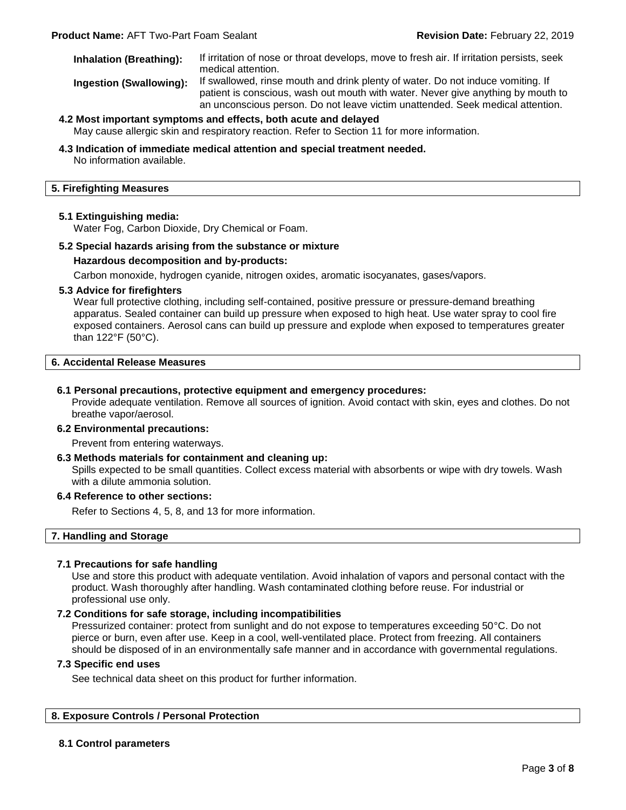**Inhalation (Breathing):** If irritation of nose or throat develops, move to fresh air. If irritation persists, seek medical attention.

**Ingestion (Swallowing):** If swallowed, rinse mouth and drink plenty of water. Do not induce vomiting. If patient is conscious, wash out mouth with water. Never give anything by mouth to an unconscious person. Do not leave victim unattended. Seek medical attention.

# **4.2 Most important symptoms and effects, both acute and delayed** May cause allergic skin and respiratory reaction. Refer to Section 11 for more information.

#### **4.3 Indication of immediate medical attention and special treatment needed.**

No information available.

# **5. Firefighting Measures**

#### **5.1 Extinguishing media:**

Water Fog, Carbon Dioxide, Dry Chemical or Foam.

# **5.2 Special hazards arising from the substance or mixture**

#### **Hazardous decomposition and by-products:**

Carbon monoxide, hydrogen cyanide, nitrogen oxides, aromatic isocyanates, gases/vapors.

#### **5.3 Advice for firefighters**

Wear full protective clothing, including self-contained, positive pressure or pressure-demand breathing apparatus. Sealed container can build up pressure when exposed to high heat. Use water spray to cool fire exposed containers. Aerosol cans can build up pressure and explode when exposed to temperatures greater than 122°F (50°C).

#### **6. Accidental Release Measures**

#### **6.1 Personal precautions, protective equipment and emergency procedures:**

Provide adequate ventilation. Remove all sources of ignition. Avoid contact with skin, eyes and clothes. Do not breathe vapor/aerosol.

#### **6.2 Environmental precautions:**

Prevent from entering waterways.

#### **6.3 Methods materials for containment and cleaning up:**

Spills expected to be small quantities. Collect excess material with absorbents or wipe with dry towels. Wash with a dilute ammonia solution.

## **6.4 Reference to other sections:**

Refer to Sections 4, 5, 8, and 13 for more information.

#### **7. Handling and Storage**

# **7.1 Precautions for safe handling**

Use and store this product with adequate ventilation. Avoid inhalation of vapors and personal contact with the product. Wash thoroughly after handling. Wash contaminated clothing before reuse. For industrial or professional use only.

# **7.2 Conditions for safe storage, including incompatibilities**

Pressurized container: protect from sunlight and do not expose to temperatures exceeding 50°C. Do not pierce or burn, even after use. Keep in a cool, well-ventilated place. Protect from freezing. All containers should be disposed of in an environmentally safe manner and in accordance with governmental regulations.

#### **7.3 Specific end uses**

See technical data sheet on this product for further information.

# **8. Exposure Controls / Personal Protection**

# **8.1 Control parameters**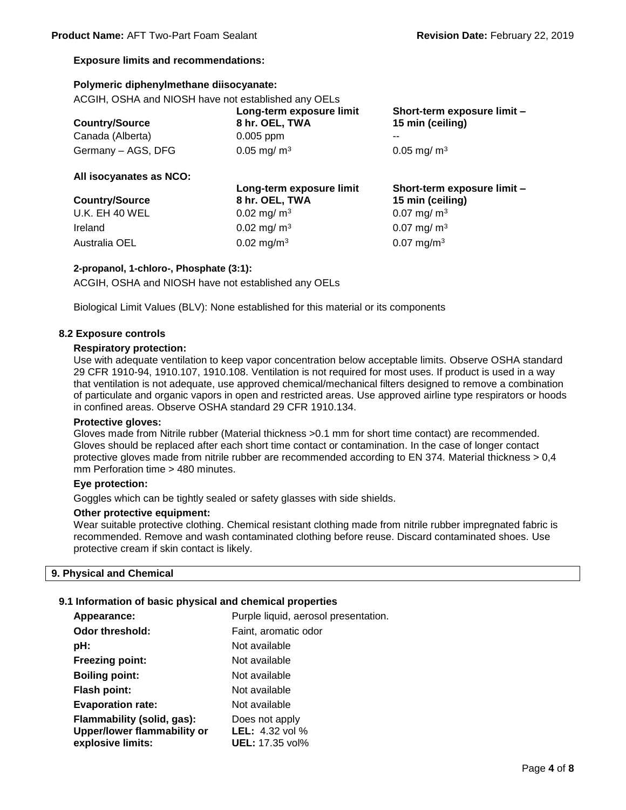# **Exposure limits and recommendations:**

# **Polymeric diphenylmethane diisocyanate:**

ACGIH, OSHA and NIOSH have not established any OELs

| <b>Country/Source</b> | Long-term exposure limit<br>8 hr. OEL, TWA | Short-term exposure limit -<br>15 min (ceiling) |
|-----------------------|--------------------------------------------|-------------------------------------------------|
| Canada (Alberta)      | $0.005$ ppm                                | $- -$                                           |
| Germany – AGS, DFG    | $0.05 \,\mathrm{mg/m^3}$                   | $0.05 \,\mathrm{mg/m^3}$                        |

**Long-term exposure limit** 

# **All isocyanates as NCO:**

| <b>Country/Source</b> |  |  |
|-----------------------|--|--|
| <b>U.K. EH 40 WEL</b> |  |  |
| Ireland               |  |  |
| Australia OEL         |  |  |

**8 hr. OEL, TWA**  $0.02$  mg/ m<sup>3</sup> 0.07 mg/ m<sup>3</sup>  $0.02$  mg/ m<sup>3</sup> 0.07 mg/ m<sup>3</sup>  $0.02 \text{ mg/m}^3$  0.07 mg/m<sup>3</sup>

**Short-term exposure limit – 15 min (ceiling)**

# **2-propanol, 1-chloro-, Phosphate (3:1):**

ACGIH, OSHA and NIOSH have not established any OELs

Biological Limit Values (BLV): None established for this material or its components

# **8.2 Exposure controls**

#### **Respiratory protection:**

Use with adequate ventilation to keep vapor concentration below acceptable limits. Observe OSHA standard 29 CFR 1910-94, 1910.107, 1910.108. Ventilation is not required for most uses. If product is used in a way that ventilation is not adequate, use approved chemical/mechanical filters designed to remove a combination of particulate and organic vapors in open and restricted areas. Use approved airline type respirators or hoods in confined areas. Observe OSHA standard 29 CFR 1910.134.

# **Protective gloves:**

Gloves made from Nitrile rubber (Material thickness >0.1 mm for short time contact) are recommended. Gloves should be replaced after each short time contact or contamination. In the case of longer contact protective gloves made from nitrile rubber are recommended according to EN 374. Material thickness > 0,4 mm Perforation time > 480 minutes.

# **Eye protection:**

Goggles which can be tightly sealed or safety glasses with side shields.

# **Other protective equipment:**

Wear suitable protective clothing. Chemical resistant clothing made from nitrile rubber impregnated fabric is recommended. Remove and wash contaminated clothing before reuse. Discard contaminated shoes. Use protective cream if skin contact is likely.

# **9. Physical and Chemical**

# **9.1 Information of basic physical and chemical properties**

| Appearance:                 | Purple liquid, aerosol presentation. |
|-----------------------------|--------------------------------------|
|                             |                                      |
| <b>Odor threshold:</b>      | Faint, aromatic odor                 |
| pH:                         | Not available                        |
| <b>Freezing point:</b>      | Not available                        |
| <b>Boiling point:</b>       | Not available                        |
| <b>Flash point:</b>         | Not available                        |
| <b>Evaporation rate:</b>    | Not available                        |
| Flammability (solid, gas):  | Does not apply                       |
| Upper/lower flammability or | <b>LEL:</b> 4.32 vol $%$             |
| explosive limits:           | <b>UEL:</b> 17.35 vol%               |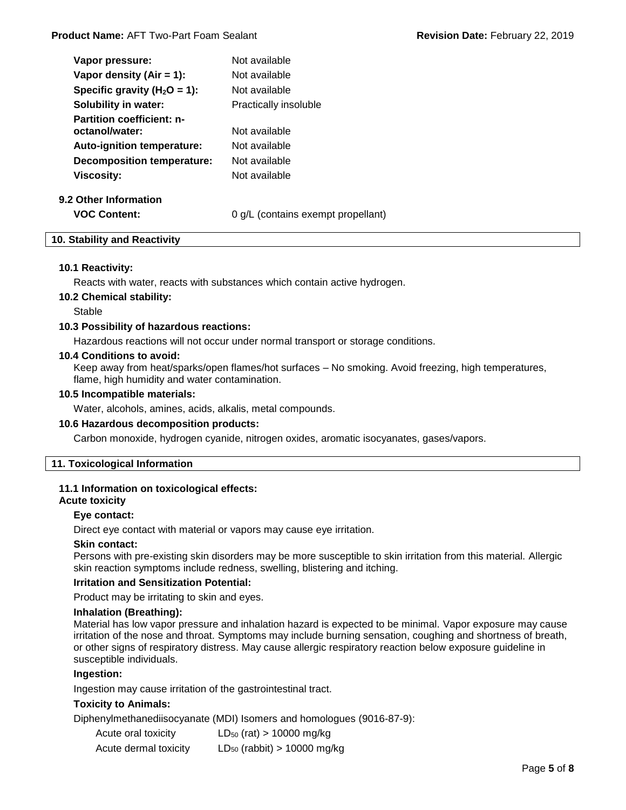| Vapor pressure:                                    | Not available                      |
|----------------------------------------------------|------------------------------------|
| Vapor density (Air = 1):                           | Not available                      |
| Specific gravity ( $H_2O = 1$ ):                   | Not available                      |
| <b>Solubility in water:</b>                        | Practically insoluble              |
| <b>Partition coefficient: n-</b><br>octanol/water: | Not available                      |
| <b>Auto-ignition temperature:</b>                  | Not available                      |
| <b>Decomposition temperature:</b>                  | Not available                      |
| Viscosity:                                         | Not available                      |
| 9.2 Other Information                              |                                    |
| <b>VOC Content:</b>                                | 0 g/L (contains exempt propellant) |

# **10. Stability and Reactivity**

#### **10.1 Reactivity:**

Reacts with water, reacts with substances which contain active hydrogen.

#### **10.2 Chemical stability:**

Stable

#### **10.3 Possibility of hazardous reactions:**

Hazardous reactions will not occur under normal transport or storage conditions.

#### **10.4 Conditions to avoid:**

Keep away from heat/sparks/open flames/hot surfaces – No smoking. Avoid freezing, high temperatures, flame, high humidity and water contamination.

#### **10.5 Incompatible materials:**

Water, alcohols, amines, acids, alkalis, metal compounds.

#### **10.6 Hazardous decomposition products:**

Carbon monoxide, hydrogen cyanide, nitrogen oxides, aromatic isocyanates, gases/vapors.

# **11. Toxicological Information**

# **11.1 Information on toxicological effects:**

# **Acute toxicity**

#### **Eye contact:**

Direct eye contact with material or vapors may cause eye irritation.

#### **Skin contact:**

Persons with pre-existing skin disorders may be more susceptible to skin irritation from this material. Allergic skin reaction symptoms include redness, swelling, blistering and itching.

#### **Irritation and Sensitization Potential:**

Product may be irritating to skin and eyes.

#### **Inhalation (Breathing):**

Material has low vapor pressure and inhalation hazard is expected to be minimal. Vapor exposure may cause irritation of the nose and throat. Symptoms may include burning sensation, coughing and shortness of breath, or other signs of respiratory distress. May cause allergic respiratory reaction below exposure guideline in susceptible individuals.

# **Ingestion:**

Ingestion may cause irritation of the gastrointestinal tract.

# **Toxicity to Animals:**

Diphenylmethanediisocyanate (MDI) Isomers and homologues (9016-87-9):

| Acute oral toxicity   | $LD_{50}$ (rat) > 10000 mg/kg    |
|-----------------------|----------------------------------|
| Acute dermal toxicity | $LD_{50}$ (rabbit) > 10000 mg/kg |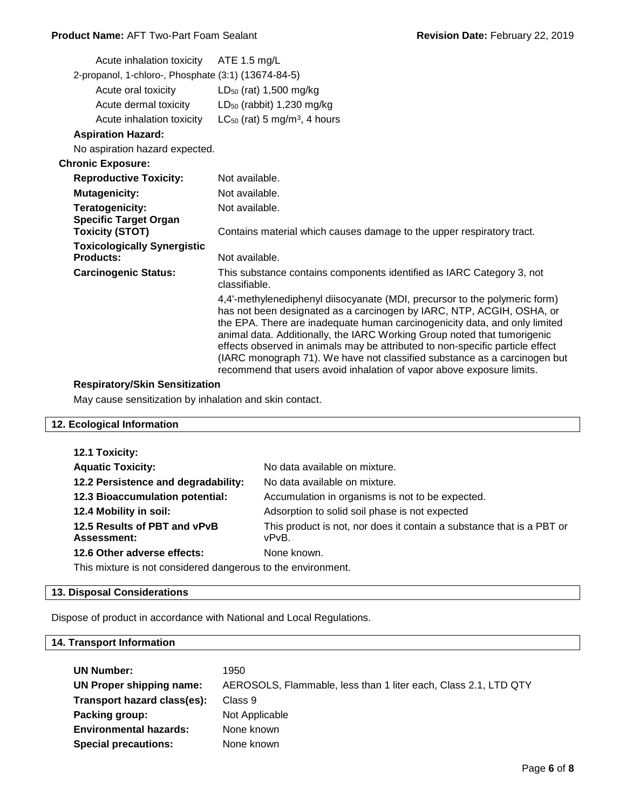# **Product Name:** AFT Two-Part Foam Sealant **Revision Date:** February 22, 2019

|                                                     | Acute inhalation toxicity                              | ATE 1.5 $mg/L$                                                                                                                                                                                                                                                                                                                                                                                                                                                                                                                                       |
|-----------------------------------------------------|--------------------------------------------------------|------------------------------------------------------------------------------------------------------------------------------------------------------------------------------------------------------------------------------------------------------------------------------------------------------------------------------------------------------------------------------------------------------------------------------------------------------------------------------------------------------------------------------------------------------|
| 2-propanol, 1-chloro-, Phosphate (3:1) (13674-84-5) |                                                        |                                                                                                                                                                                                                                                                                                                                                                                                                                                                                                                                                      |
|                                                     | Acute oral toxicity                                    | LD <sub>50</sub> (rat) 1,500 mg/kg                                                                                                                                                                                                                                                                                                                                                                                                                                                                                                                   |
|                                                     | Acute dermal toxicity                                  | $LD_{50}$ (rabbit) 1,230 mg/kg                                                                                                                                                                                                                                                                                                                                                                                                                                                                                                                       |
|                                                     | Acute inhalation toxicity                              | $LC_{50}$ (rat) 5 mg/m <sup>3</sup> , 4 hours                                                                                                                                                                                                                                                                                                                                                                                                                                                                                                        |
|                                                     | <b>Aspiration Hazard:</b>                              |                                                                                                                                                                                                                                                                                                                                                                                                                                                                                                                                                      |
|                                                     | No aspiration hazard expected.                         |                                                                                                                                                                                                                                                                                                                                                                                                                                                                                                                                                      |
|                                                     | <b>Chronic Exposure:</b>                               |                                                                                                                                                                                                                                                                                                                                                                                                                                                                                                                                                      |
|                                                     | <b>Reproductive Toxicity:</b>                          | Not available.                                                                                                                                                                                                                                                                                                                                                                                                                                                                                                                                       |
|                                                     | <b>Mutagenicity:</b>                                   | Not available.                                                                                                                                                                                                                                                                                                                                                                                                                                                                                                                                       |
|                                                     | <b>Teratogenicity:</b>                                 | Not available.                                                                                                                                                                                                                                                                                                                                                                                                                                                                                                                                       |
|                                                     | <b>Specific Target Organ</b><br><b>Toxicity (STOT)</b> | Contains material which causes damage to the upper respiratory tract.                                                                                                                                                                                                                                                                                                                                                                                                                                                                                |
|                                                     | <b>Toxicologically Synergistic</b>                     |                                                                                                                                                                                                                                                                                                                                                                                                                                                                                                                                                      |
|                                                     | <b>Products:</b>                                       | Not available.                                                                                                                                                                                                                                                                                                                                                                                                                                                                                                                                       |
|                                                     | <b>Carcinogenic Status:</b>                            | This substance contains components identified as IARC Category 3, not<br>classifiable.                                                                                                                                                                                                                                                                                                                                                                                                                                                               |
|                                                     |                                                        | 4,4'-methylenediphenyl diisocyanate (MDI, precursor to the polymeric form)<br>has not been designated as a carcinogen by IARC, NTP, ACGIH, OSHA, or<br>the EPA. There are inadequate human carcinogenicity data, and only limited<br>animal data. Additionally, the IARC Working Group noted that tumorigenic<br>effects observed in animals may be attributed to non-specific particle effect<br>(IARC monograph 71). We have not classified substance as a carcinogen but<br>recommend that users avoid inhalation of vapor above exposure limits. |
|                                                     |                                                        |                                                                                                                                                                                                                                                                                                                                                                                                                                                                                                                                                      |

# **Respiratory/Skin Sensitization**

May cause sensitization by inhalation and skin contact.

# **12. Ecological Information**

| 12.1 Toxicity:                                               |                                                                       |  |
|--------------------------------------------------------------|-----------------------------------------------------------------------|--|
| <b>Aquatic Toxicity:</b>                                     | No data available on mixture.                                         |  |
| 12.2 Persistence and degradability:                          | No data available on mixture.                                         |  |
| 12.3 Bioaccumulation potential:                              | Accumulation in organisms is not to be expected.                      |  |
| 12.4 Mobility in soil:                                       | Adsorption to solid soil phase is not expected                        |  |
| 12.5 Results of PBT and vPvB                                 | This product is not, nor does it contain a substance that is a PBT or |  |
| <b>Assessment:</b>                                           | vPvB.                                                                 |  |
| 12.6 Other adverse effects:                                  | None known.                                                           |  |
| This mixture is not considered dangerous to the environment. |                                                                       |  |

# **13. Disposal Considerations**

Dispose of product in accordance with National and Local Regulations.

# **14. Transport Information**

| <b>UN Number:</b>             | 1950                                                            |
|-------------------------------|-----------------------------------------------------------------|
| UN Proper shipping name:      | AEROSOLS, Flammable, less than 1 liter each, Class 2.1, LTD QTY |
| Transport hazard class(es):   | Class 9                                                         |
| Packing group:                | Not Applicable                                                  |
| <b>Environmental hazards:</b> | None known                                                      |
| <b>Special precautions:</b>   | None known                                                      |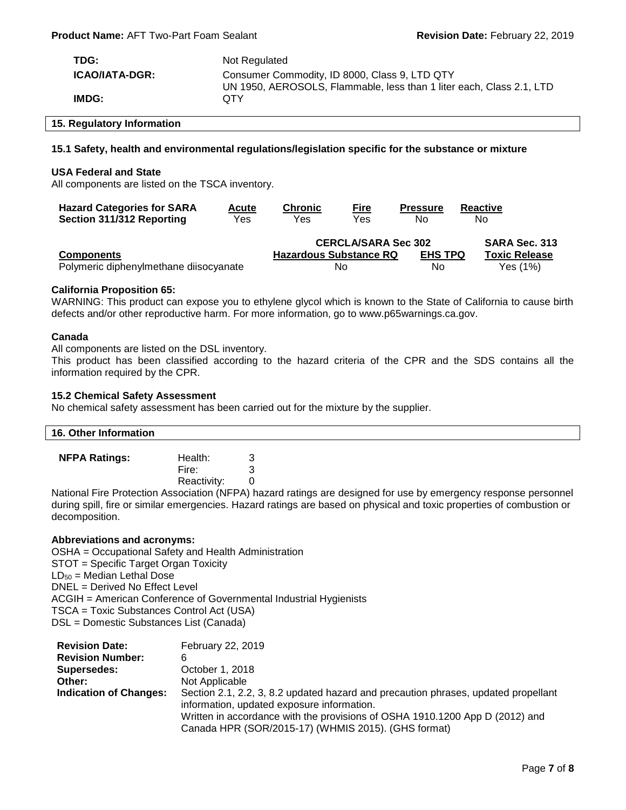| TDG:                  | Not Regulated                                                                                                         |
|-----------------------|-----------------------------------------------------------------------------------------------------------------------|
| <b>ICAO/IATA-DGR:</b> | Consumer Commodity, ID 8000, Class 9, LTD QTY<br>UN 1950, AEROSOLS, Flammable, less than 1 liter each, Class 2.1, LTD |
| IMDG:                 | OTY                                                                                                                   |

# **15. Regulatory Information**

# **15.1 Safety, health and environmental regulations/legislation specific for the substance or mixture**

#### **USA Federal and State**

All components are listed on the TSCA inventory.

| <b>Hazard Categories for SARA</b>      | <b>Acute</b> | <b>Chronic</b>                | <b>Fire</b> | <b>Pressure</b>            | Reactive             |
|----------------------------------------|--------------|-------------------------------|-------------|----------------------------|----------------------|
| Section 311/312 Reporting              | Yes          | Yes                           | Yes         | No                         | No                   |
|                                        |              |                               |             | <b>CERCLA/SARA Sec 302</b> | SARA Sec. 313        |
| <b>Components</b>                      |              | <b>Hazardous Substance RQ</b> |             | <b>EHS TPQ</b>             | <b>Toxic Release</b> |
| Polymeric diphenylmethane diisocyanate |              |                               | No          | No                         | Yes (1%)             |

# **California Proposition 65:**

WARNING: This product can expose you to ethylene glycol which is known to the State of California to cause birth defects and/or other reproductive harm. For more information, go to www.p65warnings.ca.gov.

#### **Canada**

All components are listed on the DSL inventory.

This product has been classified according to the hazard criteria of the CPR and the SDS contains all the information required by the CPR.

#### **15.2 Chemical Safety Assessment**

No chemical safety assessment has been carried out for the mixture by the supplier.

| 16. Other Information |             |  |
|-----------------------|-------------|--|
| <b>NFPA Ratings:</b>  | Health:     |  |
|                       |             |  |
|                       | Fire:       |  |
|                       | Reactivity: |  |

National Fire Protection Association (NFPA) hazard ratings are designed for use by emergency response personnel during spill, fire or similar emergencies. Hazard ratings are based on physical and toxic properties of combustion or decomposition.

#### **Abbreviations and acronyms:**

OSHA = Occupational Safety and Health Administration STOT = Specific Target Organ Toxicity  $LD_{50}$  = Median Lethal Dose DNEL = Derived No Effect Level ACGIH = American Conference of Governmental Industrial Hygienists TSCA = Toxic Substances Control Act (USA) DSL = Domestic Substances List (Canada)

| <b>Revision Date:</b>         | February 22, 2019                                                                                                                   |
|-------------------------------|-------------------------------------------------------------------------------------------------------------------------------------|
| <b>Revision Number:</b>       | 6                                                                                                                                   |
| Supersedes:                   | October 1, 2018                                                                                                                     |
| Other:                        | Not Applicable                                                                                                                      |
| <b>Indication of Changes:</b> | Section 2.1, 2.2, 3, 8.2 updated hazard and precaution phrases, updated propellant<br>information, updated exposure information.    |
|                               | Written in accordance with the provisions of OSHA 1910.1200 App D (2012) and<br>Canada HPR (SOR/2015-17) (WHMIS 2015). (GHS format) |